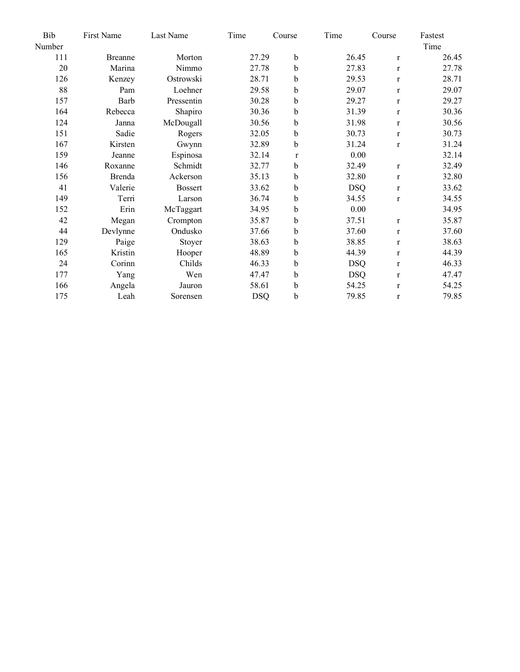| Bib    | First Name     | Last Name      | Time       | Course      | Time       | Course       | Fastest |
|--------|----------------|----------------|------------|-------------|------------|--------------|---------|
| Number |                |                |            |             |            |              | Time    |
| 111    | <b>Breanne</b> | Morton         | 27.29      | $\mathbf b$ | 26.45      | $\mathbf{r}$ | 26.45   |
| 20     | Marina         | Nimmo          | 27.78      | b           | 27.83      | $\mathbf{r}$ | 27.78   |
| 126    | Kenzey         | Ostrowski      | 28.71      | b           | 29.53      | $\mathbf{r}$ | 28.71   |
| 88     | Pam            | Loehner        | 29.58      | b           | 29.07      | $\mathbf{r}$ | 29.07   |
| 157    | Barb           | Pressentin     | 30.28      | b           | 29.27      | $\mathbf{r}$ | 29.27   |
| 164    | Rebecca        | Shapiro        | 30.36      | b           | 31.39      | $\mathbf{r}$ | 30.36   |
| 124    | Janna          | McDougall      | 30.56      | b           | 31.98      | $\mathbf{r}$ | 30.56   |
| 151    | Sadie          | Rogers         | 32.05      | b           | 30.73      | $\mathbf{r}$ | 30.73   |
| 167    | Kirsten        | Gwynn          | 32.89      | b           | 31.24      | $\mathbf{r}$ | 31.24   |
| 159    | Jeanne         | Espinosa       | 32.14      | $\bf r$     | 0.00       |              | 32.14   |
| 146    | Roxanne        | Schmidt        | 32.77      | b           | 32.49      | $\mathbf r$  | 32.49   |
| 156    | <b>Brenda</b>  | Ackerson       | 35.13      | b           | 32.80      | $\mathbf{r}$ | 32.80   |
| 41     | Valerie        | <b>Bossert</b> | 33.62      | b           | <b>DSQ</b> | $\mathbf{r}$ | 33.62   |
| 149    | Terri          | Larson         | 36.74      | b           | 34.55      | $\mathbf{r}$ | 34.55   |
| 152    | Erin           | McTaggart      | 34.95      | b           | 0.00       |              | 34.95   |
| 42     | Megan          | Crompton       | 35.87      | b           | 37.51      | $\mathbf r$  | 35.87   |
| 44     | Devlynne       | Ondusko        | 37.66      | b           | 37.60      | $\mathbf{r}$ | 37.60   |
| 129    | Paige          | Stoyer         | 38.63      | b           | 38.85      | $\mathbf{r}$ | 38.63   |
| 165    | Kristin        | Hooper         | 48.89      | b           | 44.39      | $\mathbf{r}$ | 44.39   |
| 24     | Corinn         | Childs         | 46.33      | b           | <b>DSQ</b> | $\mathbf{r}$ | 46.33   |
| 177    | Yang           | Wen            | 47.47      | b           | <b>DSQ</b> | $\mathbf r$  | 47.47   |
| 166    | Angela         | Jauron         | 58.61      | b           | 54.25      | $\mathbf{r}$ | 54.25   |
| 175    | Leah           | Sorensen       | <b>DSQ</b> | $\mathbf b$ | 79.85      | $\mathbf r$  | 79.85   |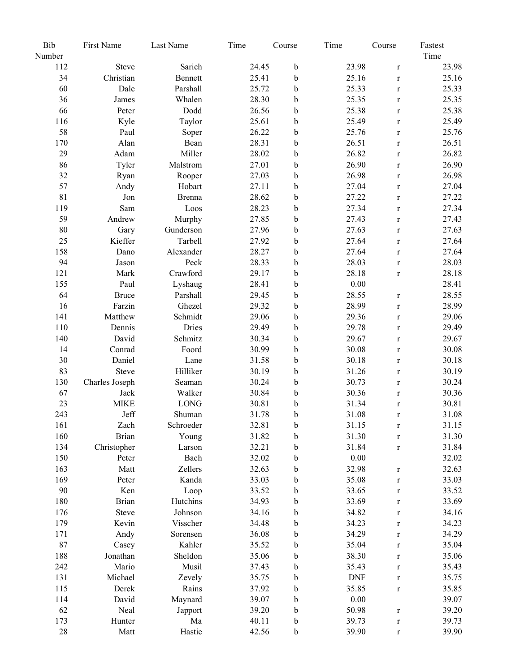| Number<br>Time<br>Sarich<br>23.98<br>112<br><b>Steve</b><br>24.45<br>b<br>23.98<br>$\bf r$<br>34<br>Christian<br>25.41<br>25.16<br>25.16<br>Bennett<br>b<br>$\mathbf{r}$<br>60<br>25.33<br>Dale<br>Parshall<br>25.72<br>25.33<br>b<br>$\mathbf r$<br>36<br>Whalen<br>28.30<br>b<br>25.35<br>25.35<br>James<br>$\mathbf{r}$<br>66<br>Dodd<br>$\mathbf b$<br>25.38<br>25.38<br>Peter<br>26.56<br>$\bf r$<br>$\mathbf b$<br>116<br>Kyle<br>Taylor<br>25.61<br>25.49<br>25.49<br>$\mathbf r$<br>58<br>26.22<br>$\mathbf b$<br>25.76<br>25.76<br>Paul<br>Soper<br>$\mathbf r$<br>170<br>Alan<br>28.31<br>b<br>26.51<br>26.51<br>Bean<br>$\mathbf r$<br>29<br>Miller<br>26.82<br>Adam<br>28.02<br>b<br>26.82<br>$\mathbf r$<br>26.90<br>26.90<br>86<br>Tyler<br>Malstrom<br>27.01<br>b<br>$\mathbf r$<br>32<br>26.98<br>b<br>26.98<br>Ryan<br>27.03<br>Rooper<br>$\mathbf{r}$<br>57<br>27.04<br>Hobart<br>27.11<br>b<br>27.04<br>Andy<br>$\mathbf r$<br>81<br>28.62<br>b<br>27.22<br>27.22<br>Jon<br>Brenna<br>$\mathbf r$<br>119<br>27.34<br>Loos<br>28.23<br>b<br>27.34<br>Sam<br>$\mathbf r$<br>59<br>Murphy<br>27.85<br>b<br>27.43<br>Andrew<br>27.43<br>$\mathbf r$<br>27.63<br>80<br>b<br>27.63<br>Gunderson<br>27.96<br>Gary<br>$\mathbf r$<br>25<br>Kieffer<br>Tarbell<br>27.92<br>b<br>27.64<br>27.64<br>$\mathbf{r}$<br>158<br>Alexander<br>28.27<br>b<br>27.64<br>27.64<br>Dano<br>$\mathbf{r}$<br>94<br>28.03<br>Peck<br>28.33<br>b<br>28.03<br>Jason<br>$\mathbf{r}$<br>Crawford<br>28.18<br>121<br>29.17<br>$\mathbf b$<br>28.18<br>Mark<br>$\mathbf r$<br>$\mathbf b$<br>0.00<br>28.41<br>155<br>28.41<br>Paul<br>Lyshaug<br>28.55<br>64<br>29.45<br>$\mathbf b$<br>28.55<br>Parshall<br><b>Bruce</b><br>$\mathbf r$<br>28.99<br>16<br>Farzin<br>Ghezel<br>29.32<br>b<br>28.99<br>$\mathbf r$<br>141<br>Matthew<br>Schmidt<br>29.06<br>b<br>29.36<br>29.06<br>$\mathbf r$<br>29.49<br>110<br>Dennis<br>Dries<br>29.49<br>b<br>29.78<br>$\mathbf r$<br>David<br>Schmitz<br>29.67<br>29.67<br>140<br>30.34<br>b<br>$\mathbf{r}$<br>30.08<br>30.08<br>14<br>Conrad<br>30.99<br>b<br>Foord<br>$\mathbf r$<br>30<br>Daniel<br>b<br>30.18<br>30.18<br>Lane<br>31.58<br>$\mathbf r$<br>83<br>Hilliker<br>30.19<br>30.19<br>b<br>31.26<br>Steve<br>$\mathbf r$<br>130<br>30.24<br>b<br>30.73<br>30.24<br>Charles Joseph<br>Seaman<br>$\mathbf r$<br>67<br>Walker<br>30.36<br>Jack<br>30.84<br>b<br>30.36<br>$\mathbf r$<br>23<br><b>MIKE</b><br>LONG<br>30.81<br>31.34<br>30.81<br>b<br>$\mathbf r$<br>243<br>Jeff<br>b<br>31.08<br>31.08<br>Shuman<br>31.78<br>$\mathbf r$<br>161<br>Zach<br>Schroeder<br>32.81<br>31.15<br>b<br>31.15<br>$\mathbf r$<br>160<br><b>Brian</b><br>31.30<br>31.30<br>Young<br>31.82<br>b<br>$\mathbf r$<br>134<br>Christopher<br>31.84<br>32.21<br>b<br>31.84<br>Larson<br>$\mathbf r$<br>0.00<br>150<br>Peter<br>Bach<br>32.02<br>b<br>32.02<br>163<br>32.98<br>32.63<br>Matt<br>Zellers<br>32.63<br>b<br>$\bf r$<br>169<br>33.03<br>Kanda<br>33.03<br>b<br>35.08<br>Peter<br>$\mathbf r$<br>90<br>33.52<br>Ken<br>Loop<br>33.52<br>b<br>33.65<br>$\mathbf r$<br><b>Brian</b><br>Hutchins<br>180<br>34.93<br>b<br>33.69<br>33.69<br>$\mathbf r$<br>34.82<br>176<br>Johnson<br>34.16<br>b<br>34.16<br>Steve<br>$\bf r$<br>179<br>34.23<br>34.23<br>Kevin<br>Visscher<br>34.48<br>b<br>$\mathbf r$<br>34.29<br>34.29<br>171<br>Andy<br>36.08<br>b<br>Sorensen<br>$\mathbf r$<br>87<br>Kahler<br>Casey<br>35.52<br>b<br>35.04<br>35.04<br>$\mathbf r$<br>Sheldon<br>188<br>Jonathan<br>35.06<br>b<br>38.30<br>35.06<br>$\mathbf r$<br>Musil<br>242<br>Mario<br>37.43<br>b<br>35.43<br>35.43<br>$\mathbf r$<br>131<br>Michael<br>35.75<br>b<br><b>DNF</b><br>35.75<br>Zevely<br>$\mathbf r$<br>Rains<br>35.85<br>35.85<br>115<br>Derek<br>37.92<br>b<br>$\mathbf r$<br>$0.00\,$<br>39.07<br>114<br>David<br>Maynard<br>39.07<br>b<br>62<br>39.20<br>Neal<br>39.20<br>b<br>50.98<br>Japport<br>$\mathbf r$<br>39.73<br>173<br>Hunter<br>Ma<br>40.11<br>b<br>39.73<br>$\mathbf r$<br>28<br>39.90<br>Matt<br>Hastie<br>42.56<br>b<br>39.90<br>$\mathbf r$ | Bib | First Name | Last Name | Time | Course | Time | Course | Fastest |
|------------------------------------------------------------------------------------------------------------------------------------------------------------------------------------------------------------------------------------------------------------------------------------------------------------------------------------------------------------------------------------------------------------------------------------------------------------------------------------------------------------------------------------------------------------------------------------------------------------------------------------------------------------------------------------------------------------------------------------------------------------------------------------------------------------------------------------------------------------------------------------------------------------------------------------------------------------------------------------------------------------------------------------------------------------------------------------------------------------------------------------------------------------------------------------------------------------------------------------------------------------------------------------------------------------------------------------------------------------------------------------------------------------------------------------------------------------------------------------------------------------------------------------------------------------------------------------------------------------------------------------------------------------------------------------------------------------------------------------------------------------------------------------------------------------------------------------------------------------------------------------------------------------------------------------------------------------------------------------------------------------------------------------------------------------------------------------------------------------------------------------------------------------------------------------------------------------------------------------------------------------------------------------------------------------------------------------------------------------------------------------------------------------------------------------------------------------------------------------------------------------------------------------------------------------------------------------------------------------------------------------------------------------------------------------------------------------------------------------------------------------------------------------------------------------------------------------------------------------------------------------------------------------------------------------------------------------------------------------------------------------------------------------------------------------------------------------------------------------------------------------------------------------------------------------------------------------------------------------------------------------------------------------------------------------------------------------------------------------------------------------------------------------------------------------------------------------------------------------------------------------------------------------------------------------------------------------------------------------------------------------------------------------------------------------------------------------------------------------------------------------------------------------------------------------------------------------------------------------------------------------------------------------------------------------------------------------------------------------------------------------------------------------------------------------------------------------|-----|------------|-----------|------|--------|------|--------|---------|
|                                                                                                                                                                                                                                                                                                                                                                                                                                                                                                                                                                                                                                                                                                                                                                                                                                                                                                                                                                                                                                                                                                                                                                                                                                                                                                                                                                                                                                                                                                                                                                                                                                                                                                                                                                                                                                                                                                                                                                                                                                                                                                                                                                                                                                                                                                                                                                                                                                                                                                                                                                                                                                                                                                                                                                                                                                                                                                                                                                                                                                                                                                                                                                                                                                                                                                                                                                                                                                                                                                                                                                                                                                                                                                                                                                                                                                                                                                                                                                                                                                                                                    |     |            |           |      |        |      |        |         |
|                                                                                                                                                                                                                                                                                                                                                                                                                                                                                                                                                                                                                                                                                                                                                                                                                                                                                                                                                                                                                                                                                                                                                                                                                                                                                                                                                                                                                                                                                                                                                                                                                                                                                                                                                                                                                                                                                                                                                                                                                                                                                                                                                                                                                                                                                                                                                                                                                                                                                                                                                                                                                                                                                                                                                                                                                                                                                                                                                                                                                                                                                                                                                                                                                                                                                                                                                                                                                                                                                                                                                                                                                                                                                                                                                                                                                                                                                                                                                                                                                                                                                    |     |            |           |      |        |      |        |         |
|                                                                                                                                                                                                                                                                                                                                                                                                                                                                                                                                                                                                                                                                                                                                                                                                                                                                                                                                                                                                                                                                                                                                                                                                                                                                                                                                                                                                                                                                                                                                                                                                                                                                                                                                                                                                                                                                                                                                                                                                                                                                                                                                                                                                                                                                                                                                                                                                                                                                                                                                                                                                                                                                                                                                                                                                                                                                                                                                                                                                                                                                                                                                                                                                                                                                                                                                                                                                                                                                                                                                                                                                                                                                                                                                                                                                                                                                                                                                                                                                                                                                                    |     |            |           |      |        |      |        |         |
|                                                                                                                                                                                                                                                                                                                                                                                                                                                                                                                                                                                                                                                                                                                                                                                                                                                                                                                                                                                                                                                                                                                                                                                                                                                                                                                                                                                                                                                                                                                                                                                                                                                                                                                                                                                                                                                                                                                                                                                                                                                                                                                                                                                                                                                                                                                                                                                                                                                                                                                                                                                                                                                                                                                                                                                                                                                                                                                                                                                                                                                                                                                                                                                                                                                                                                                                                                                                                                                                                                                                                                                                                                                                                                                                                                                                                                                                                                                                                                                                                                                                                    |     |            |           |      |        |      |        |         |
|                                                                                                                                                                                                                                                                                                                                                                                                                                                                                                                                                                                                                                                                                                                                                                                                                                                                                                                                                                                                                                                                                                                                                                                                                                                                                                                                                                                                                                                                                                                                                                                                                                                                                                                                                                                                                                                                                                                                                                                                                                                                                                                                                                                                                                                                                                                                                                                                                                                                                                                                                                                                                                                                                                                                                                                                                                                                                                                                                                                                                                                                                                                                                                                                                                                                                                                                                                                                                                                                                                                                                                                                                                                                                                                                                                                                                                                                                                                                                                                                                                                                                    |     |            |           |      |        |      |        |         |
|                                                                                                                                                                                                                                                                                                                                                                                                                                                                                                                                                                                                                                                                                                                                                                                                                                                                                                                                                                                                                                                                                                                                                                                                                                                                                                                                                                                                                                                                                                                                                                                                                                                                                                                                                                                                                                                                                                                                                                                                                                                                                                                                                                                                                                                                                                                                                                                                                                                                                                                                                                                                                                                                                                                                                                                                                                                                                                                                                                                                                                                                                                                                                                                                                                                                                                                                                                                                                                                                                                                                                                                                                                                                                                                                                                                                                                                                                                                                                                                                                                                                                    |     |            |           |      |        |      |        |         |
|                                                                                                                                                                                                                                                                                                                                                                                                                                                                                                                                                                                                                                                                                                                                                                                                                                                                                                                                                                                                                                                                                                                                                                                                                                                                                                                                                                                                                                                                                                                                                                                                                                                                                                                                                                                                                                                                                                                                                                                                                                                                                                                                                                                                                                                                                                                                                                                                                                                                                                                                                                                                                                                                                                                                                                                                                                                                                                                                                                                                                                                                                                                                                                                                                                                                                                                                                                                                                                                                                                                                                                                                                                                                                                                                                                                                                                                                                                                                                                                                                                                                                    |     |            |           |      |        |      |        |         |
|                                                                                                                                                                                                                                                                                                                                                                                                                                                                                                                                                                                                                                                                                                                                                                                                                                                                                                                                                                                                                                                                                                                                                                                                                                                                                                                                                                                                                                                                                                                                                                                                                                                                                                                                                                                                                                                                                                                                                                                                                                                                                                                                                                                                                                                                                                                                                                                                                                                                                                                                                                                                                                                                                                                                                                                                                                                                                                                                                                                                                                                                                                                                                                                                                                                                                                                                                                                                                                                                                                                                                                                                                                                                                                                                                                                                                                                                                                                                                                                                                                                                                    |     |            |           |      |        |      |        |         |
|                                                                                                                                                                                                                                                                                                                                                                                                                                                                                                                                                                                                                                                                                                                                                                                                                                                                                                                                                                                                                                                                                                                                                                                                                                                                                                                                                                                                                                                                                                                                                                                                                                                                                                                                                                                                                                                                                                                                                                                                                                                                                                                                                                                                                                                                                                                                                                                                                                                                                                                                                                                                                                                                                                                                                                                                                                                                                                                                                                                                                                                                                                                                                                                                                                                                                                                                                                                                                                                                                                                                                                                                                                                                                                                                                                                                                                                                                                                                                                                                                                                                                    |     |            |           |      |        |      |        |         |
|                                                                                                                                                                                                                                                                                                                                                                                                                                                                                                                                                                                                                                                                                                                                                                                                                                                                                                                                                                                                                                                                                                                                                                                                                                                                                                                                                                                                                                                                                                                                                                                                                                                                                                                                                                                                                                                                                                                                                                                                                                                                                                                                                                                                                                                                                                                                                                                                                                                                                                                                                                                                                                                                                                                                                                                                                                                                                                                                                                                                                                                                                                                                                                                                                                                                                                                                                                                                                                                                                                                                                                                                                                                                                                                                                                                                                                                                                                                                                                                                                                                                                    |     |            |           |      |        |      |        |         |
|                                                                                                                                                                                                                                                                                                                                                                                                                                                                                                                                                                                                                                                                                                                                                                                                                                                                                                                                                                                                                                                                                                                                                                                                                                                                                                                                                                                                                                                                                                                                                                                                                                                                                                                                                                                                                                                                                                                                                                                                                                                                                                                                                                                                                                                                                                                                                                                                                                                                                                                                                                                                                                                                                                                                                                                                                                                                                                                                                                                                                                                                                                                                                                                                                                                                                                                                                                                                                                                                                                                                                                                                                                                                                                                                                                                                                                                                                                                                                                                                                                                                                    |     |            |           |      |        |      |        |         |
|                                                                                                                                                                                                                                                                                                                                                                                                                                                                                                                                                                                                                                                                                                                                                                                                                                                                                                                                                                                                                                                                                                                                                                                                                                                                                                                                                                                                                                                                                                                                                                                                                                                                                                                                                                                                                                                                                                                                                                                                                                                                                                                                                                                                                                                                                                                                                                                                                                                                                                                                                                                                                                                                                                                                                                                                                                                                                                                                                                                                                                                                                                                                                                                                                                                                                                                                                                                                                                                                                                                                                                                                                                                                                                                                                                                                                                                                                                                                                                                                                                                                                    |     |            |           |      |        |      |        |         |
|                                                                                                                                                                                                                                                                                                                                                                                                                                                                                                                                                                                                                                                                                                                                                                                                                                                                                                                                                                                                                                                                                                                                                                                                                                                                                                                                                                                                                                                                                                                                                                                                                                                                                                                                                                                                                                                                                                                                                                                                                                                                                                                                                                                                                                                                                                                                                                                                                                                                                                                                                                                                                                                                                                                                                                                                                                                                                                                                                                                                                                                                                                                                                                                                                                                                                                                                                                                                                                                                                                                                                                                                                                                                                                                                                                                                                                                                                                                                                                                                                                                                                    |     |            |           |      |        |      |        |         |
|                                                                                                                                                                                                                                                                                                                                                                                                                                                                                                                                                                                                                                                                                                                                                                                                                                                                                                                                                                                                                                                                                                                                                                                                                                                                                                                                                                                                                                                                                                                                                                                                                                                                                                                                                                                                                                                                                                                                                                                                                                                                                                                                                                                                                                                                                                                                                                                                                                                                                                                                                                                                                                                                                                                                                                                                                                                                                                                                                                                                                                                                                                                                                                                                                                                                                                                                                                                                                                                                                                                                                                                                                                                                                                                                                                                                                                                                                                                                                                                                                                                                                    |     |            |           |      |        |      |        |         |
|                                                                                                                                                                                                                                                                                                                                                                                                                                                                                                                                                                                                                                                                                                                                                                                                                                                                                                                                                                                                                                                                                                                                                                                                                                                                                                                                                                                                                                                                                                                                                                                                                                                                                                                                                                                                                                                                                                                                                                                                                                                                                                                                                                                                                                                                                                                                                                                                                                                                                                                                                                                                                                                                                                                                                                                                                                                                                                                                                                                                                                                                                                                                                                                                                                                                                                                                                                                                                                                                                                                                                                                                                                                                                                                                                                                                                                                                                                                                                                                                                                                                                    |     |            |           |      |        |      |        |         |
|                                                                                                                                                                                                                                                                                                                                                                                                                                                                                                                                                                                                                                                                                                                                                                                                                                                                                                                                                                                                                                                                                                                                                                                                                                                                                                                                                                                                                                                                                                                                                                                                                                                                                                                                                                                                                                                                                                                                                                                                                                                                                                                                                                                                                                                                                                                                                                                                                                                                                                                                                                                                                                                                                                                                                                                                                                                                                                                                                                                                                                                                                                                                                                                                                                                                                                                                                                                                                                                                                                                                                                                                                                                                                                                                                                                                                                                                                                                                                                                                                                                                                    |     |            |           |      |        |      |        |         |
|                                                                                                                                                                                                                                                                                                                                                                                                                                                                                                                                                                                                                                                                                                                                                                                                                                                                                                                                                                                                                                                                                                                                                                                                                                                                                                                                                                                                                                                                                                                                                                                                                                                                                                                                                                                                                                                                                                                                                                                                                                                                                                                                                                                                                                                                                                                                                                                                                                                                                                                                                                                                                                                                                                                                                                                                                                                                                                                                                                                                                                                                                                                                                                                                                                                                                                                                                                                                                                                                                                                                                                                                                                                                                                                                                                                                                                                                                                                                                                                                                                                                                    |     |            |           |      |        |      |        |         |
|                                                                                                                                                                                                                                                                                                                                                                                                                                                                                                                                                                                                                                                                                                                                                                                                                                                                                                                                                                                                                                                                                                                                                                                                                                                                                                                                                                                                                                                                                                                                                                                                                                                                                                                                                                                                                                                                                                                                                                                                                                                                                                                                                                                                                                                                                                                                                                                                                                                                                                                                                                                                                                                                                                                                                                                                                                                                                                                                                                                                                                                                                                                                                                                                                                                                                                                                                                                                                                                                                                                                                                                                                                                                                                                                                                                                                                                                                                                                                                                                                                                                                    |     |            |           |      |        |      |        |         |
|                                                                                                                                                                                                                                                                                                                                                                                                                                                                                                                                                                                                                                                                                                                                                                                                                                                                                                                                                                                                                                                                                                                                                                                                                                                                                                                                                                                                                                                                                                                                                                                                                                                                                                                                                                                                                                                                                                                                                                                                                                                                                                                                                                                                                                                                                                                                                                                                                                                                                                                                                                                                                                                                                                                                                                                                                                                                                                                                                                                                                                                                                                                                                                                                                                                                                                                                                                                                                                                                                                                                                                                                                                                                                                                                                                                                                                                                                                                                                                                                                                                                                    |     |            |           |      |        |      |        |         |
|                                                                                                                                                                                                                                                                                                                                                                                                                                                                                                                                                                                                                                                                                                                                                                                                                                                                                                                                                                                                                                                                                                                                                                                                                                                                                                                                                                                                                                                                                                                                                                                                                                                                                                                                                                                                                                                                                                                                                                                                                                                                                                                                                                                                                                                                                                                                                                                                                                                                                                                                                                                                                                                                                                                                                                                                                                                                                                                                                                                                                                                                                                                                                                                                                                                                                                                                                                                                                                                                                                                                                                                                                                                                                                                                                                                                                                                                                                                                                                                                                                                                                    |     |            |           |      |        |      |        |         |
|                                                                                                                                                                                                                                                                                                                                                                                                                                                                                                                                                                                                                                                                                                                                                                                                                                                                                                                                                                                                                                                                                                                                                                                                                                                                                                                                                                                                                                                                                                                                                                                                                                                                                                                                                                                                                                                                                                                                                                                                                                                                                                                                                                                                                                                                                                                                                                                                                                                                                                                                                                                                                                                                                                                                                                                                                                                                                                                                                                                                                                                                                                                                                                                                                                                                                                                                                                                                                                                                                                                                                                                                                                                                                                                                                                                                                                                                                                                                                                                                                                                                                    |     |            |           |      |        |      |        |         |
|                                                                                                                                                                                                                                                                                                                                                                                                                                                                                                                                                                                                                                                                                                                                                                                                                                                                                                                                                                                                                                                                                                                                                                                                                                                                                                                                                                                                                                                                                                                                                                                                                                                                                                                                                                                                                                                                                                                                                                                                                                                                                                                                                                                                                                                                                                                                                                                                                                                                                                                                                                                                                                                                                                                                                                                                                                                                                                                                                                                                                                                                                                                                                                                                                                                                                                                                                                                                                                                                                                                                                                                                                                                                                                                                                                                                                                                                                                                                                                                                                                                                                    |     |            |           |      |        |      |        |         |
|                                                                                                                                                                                                                                                                                                                                                                                                                                                                                                                                                                                                                                                                                                                                                                                                                                                                                                                                                                                                                                                                                                                                                                                                                                                                                                                                                                                                                                                                                                                                                                                                                                                                                                                                                                                                                                                                                                                                                                                                                                                                                                                                                                                                                                                                                                                                                                                                                                                                                                                                                                                                                                                                                                                                                                                                                                                                                                                                                                                                                                                                                                                                                                                                                                                                                                                                                                                                                                                                                                                                                                                                                                                                                                                                                                                                                                                                                                                                                                                                                                                                                    |     |            |           |      |        |      |        |         |
|                                                                                                                                                                                                                                                                                                                                                                                                                                                                                                                                                                                                                                                                                                                                                                                                                                                                                                                                                                                                                                                                                                                                                                                                                                                                                                                                                                                                                                                                                                                                                                                                                                                                                                                                                                                                                                                                                                                                                                                                                                                                                                                                                                                                                                                                                                                                                                                                                                                                                                                                                                                                                                                                                                                                                                                                                                                                                                                                                                                                                                                                                                                                                                                                                                                                                                                                                                                                                                                                                                                                                                                                                                                                                                                                                                                                                                                                                                                                                                                                                                                                                    |     |            |           |      |        |      |        |         |
|                                                                                                                                                                                                                                                                                                                                                                                                                                                                                                                                                                                                                                                                                                                                                                                                                                                                                                                                                                                                                                                                                                                                                                                                                                                                                                                                                                                                                                                                                                                                                                                                                                                                                                                                                                                                                                                                                                                                                                                                                                                                                                                                                                                                                                                                                                                                                                                                                                                                                                                                                                                                                                                                                                                                                                                                                                                                                                                                                                                                                                                                                                                                                                                                                                                                                                                                                                                                                                                                                                                                                                                                                                                                                                                                                                                                                                                                                                                                                                                                                                                                                    |     |            |           |      |        |      |        |         |
|                                                                                                                                                                                                                                                                                                                                                                                                                                                                                                                                                                                                                                                                                                                                                                                                                                                                                                                                                                                                                                                                                                                                                                                                                                                                                                                                                                                                                                                                                                                                                                                                                                                                                                                                                                                                                                                                                                                                                                                                                                                                                                                                                                                                                                                                                                                                                                                                                                                                                                                                                                                                                                                                                                                                                                                                                                                                                                                                                                                                                                                                                                                                                                                                                                                                                                                                                                                                                                                                                                                                                                                                                                                                                                                                                                                                                                                                                                                                                                                                                                                                                    |     |            |           |      |        |      |        |         |
|                                                                                                                                                                                                                                                                                                                                                                                                                                                                                                                                                                                                                                                                                                                                                                                                                                                                                                                                                                                                                                                                                                                                                                                                                                                                                                                                                                                                                                                                                                                                                                                                                                                                                                                                                                                                                                                                                                                                                                                                                                                                                                                                                                                                                                                                                                                                                                                                                                                                                                                                                                                                                                                                                                                                                                                                                                                                                                                                                                                                                                                                                                                                                                                                                                                                                                                                                                                                                                                                                                                                                                                                                                                                                                                                                                                                                                                                                                                                                                                                                                                                                    |     |            |           |      |        |      |        |         |
|                                                                                                                                                                                                                                                                                                                                                                                                                                                                                                                                                                                                                                                                                                                                                                                                                                                                                                                                                                                                                                                                                                                                                                                                                                                                                                                                                                                                                                                                                                                                                                                                                                                                                                                                                                                                                                                                                                                                                                                                                                                                                                                                                                                                                                                                                                                                                                                                                                                                                                                                                                                                                                                                                                                                                                                                                                                                                                                                                                                                                                                                                                                                                                                                                                                                                                                                                                                                                                                                                                                                                                                                                                                                                                                                                                                                                                                                                                                                                                                                                                                                                    |     |            |           |      |        |      |        |         |
|                                                                                                                                                                                                                                                                                                                                                                                                                                                                                                                                                                                                                                                                                                                                                                                                                                                                                                                                                                                                                                                                                                                                                                                                                                                                                                                                                                                                                                                                                                                                                                                                                                                                                                                                                                                                                                                                                                                                                                                                                                                                                                                                                                                                                                                                                                                                                                                                                                                                                                                                                                                                                                                                                                                                                                                                                                                                                                                                                                                                                                                                                                                                                                                                                                                                                                                                                                                                                                                                                                                                                                                                                                                                                                                                                                                                                                                                                                                                                                                                                                                                                    |     |            |           |      |        |      |        |         |
|                                                                                                                                                                                                                                                                                                                                                                                                                                                                                                                                                                                                                                                                                                                                                                                                                                                                                                                                                                                                                                                                                                                                                                                                                                                                                                                                                                                                                                                                                                                                                                                                                                                                                                                                                                                                                                                                                                                                                                                                                                                                                                                                                                                                                                                                                                                                                                                                                                                                                                                                                                                                                                                                                                                                                                                                                                                                                                                                                                                                                                                                                                                                                                                                                                                                                                                                                                                                                                                                                                                                                                                                                                                                                                                                                                                                                                                                                                                                                                                                                                                                                    |     |            |           |      |        |      |        |         |
|                                                                                                                                                                                                                                                                                                                                                                                                                                                                                                                                                                                                                                                                                                                                                                                                                                                                                                                                                                                                                                                                                                                                                                                                                                                                                                                                                                                                                                                                                                                                                                                                                                                                                                                                                                                                                                                                                                                                                                                                                                                                                                                                                                                                                                                                                                                                                                                                                                                                                                                                                                                                                                                                                                                                                                                                                                                                                                                                                                                                                                                                                                                                                                                                                                                                                                                                                                                                                                                                                                                                                                                                                                                                                                                                                                                                                                                                                                                                                                                                                                                                                    |     |            |           |      |        |      |        |         |
|                                                                                                                                                                                                                                                                                                                                                                                                                                                                                                                                                                                                                                                                                                                                                                                                                                                                                                                                                                                                                                                                                                                                                                                                                                                                                                                                                                                                                                                                                                                                                                                                                                                                                                                                                                                                                                                                                                                                                                                                                                                                                                                                                                                                                                                                                                                                                                                                                                                                                                                                                                                                                                                                                                                                                                                                                                                                                                                                                                                                                                                                                                                                                                                                                                                                                                                                                                                                                                                                                                                                                                                                                                                                                                                                                                                                                                                                                                                                                                                                                                                                                    |     |            |           |      |        |      |        |         |
|                                                                                                                                                                                                                                                                                                                                                                                                                                                                                                                                                                                                                                                                                                                                                                                                                                                                                                                                                                                                                                                                                                                                                                                                                                                                                                                                                                                                                                                                                                                                                                                                                                                                                                                                                                                                                                                                                                                                                                                                                                                                                                                                                                                                                                                                                                                                                                                                                                                                                                                                                                                                                                                                                                                                                                                                                                                                                                                                                                                                                                                                                                                                                                                                                                                                                                                                                                                                                                                                                                                                                                                                                                                                                                                                                                                                                                                                                                                                                                                                                                                                                    |     |            |           |      |        |      |        |         |
|                                                                                                                                                                                                                                                                                                                                                                                                                                                                                                                                                                                                                                                                                                                                                                                                                                                                                                                                                                                                                                                                                                                                                                                                                                                                                                                                                                                                                                                                                                                                                                                                                                                                                                                                                                                                                                                                                                                                                                                                                                                                                                                                                                                                                                                                                                                                                                                                                                                                                                                                                                                                                                                                                                                                                                                                                                                                                                                                                                                                                                                                                                                                                                                                                                                                                                                                                                                                                                                                                                                                                                                                                                                                                                                                                                                                                                                                                                                                                                                                                                                                                    |     |            |           |      |        |      |        |         |
|                                                                                                                                                                                                                                                                                                                                                                                                                                                                                                                                                                                                                                                                                                                                                                                                                                                                                                                                                                                                                                                                                                                                                                                                                                                                                                                                                                                                                                                                                                                                                                                                                                                                                                                                                                                                                                                                                                                                                                                                                                                                                                                                                                                                                                                                                                                                                                                                                                                                                                                                                                                                                                                                                                                                                                                                                                                                                                                                                                                                                                                                                                                                                                                                                                                                                                                                                                                                                                                                                                                                                                                                                                                                                                                                                                                                                                                                                                                                                                                                                                                                                    |     |            |           |      |        |      |        |         |
|                                                                                                                                                                                                                                                                                                                                                                                                                                                                                                                                                                                                                                                                                                                                                                                                                                                                                                                                                                                                                                                                                                                                                                                                                                                                                                                                                                                                                                                                                                                                                                                                                                                                                                                                                                                                                                                                                                                                                                                                                                                                                                                                                                                                                                                                                                                                                                                                                                                                                                                                                                                                                                                                                                                                                                                                                                                                                                                                                                                                                                                                                                                                                                                                                                                                                                                                                                                                                                                                                                                                                                                                                                                                                                                                                                                                                                                                                                                                                                                                                                                                                    |     |            |           |      |        |      |        |         |
|                                                                                                                                                                                                                                                                                                                                                                                                                                                                                                                                                                                                                                                                                                                                                                                                                                                                                                                                                                                                                                                                                                                                                                                                                                                                                                                                                                                                                                                                                                                                                                                                                                                                                                                                                                                                                                                                                                                                                                                                                                                                                                                                                                                                                                                                                                                                                                                                                                                                                                                                                                                                                                                                                                                                                                                                                                                                                                                                                                                                                                                                                                                                                                                                                                                                                                                                                                                                                                                                                                                                                                                                                                                                                                                                                                                                                                                                                                                                                                                                                                                                                    |     |            |           |      |        |      |        |         |
|                                                                                                                                                                                                                                                                                                                                                                                                                                                                                                                                                                                                                                                                                                                                                                                                                                                                                                                                                                                                                                                                                                                                                                                                                                                                                                                                                                                                                                                                                                                                                                                                                                                                                                                                                                                                                                                                                                                                                                                                                                                                                                                                                                                                                                                                                                                                                                                                                                                                                                                                                                                                                                                                                                                                                                                                                                                                                                                                                                                                                                                                                                                                                                                                                                                                                                                                                                                                                                                                                                                                                                                                                                                                                                                                                                                                                                                                                                                                                                                                                                                                                    |     |            |           |      |        |      |        |         |
|                                                                                                                                                                                                                                                                                                                                                                                                                                                                                                                                                                                                                                                                                                                                                                                                                                                                                                                                                                                                                                                                                                                                                                                                                                                                                                                                                                                                                                                                                                                                                                                                                                                                                                                                                                                                                                                                                                                                                                                                                                                                                                                                                                                                                                                                                                                                                                                                                                                                                                                                                                                                                                                                                                                                                                                                                                                                                                                                                                                                                                                                                                                                                                                                                                                                                                                                                                                                                                                                                                                                                                                                                                                                                                                                                                                                                                                                                                                                                                                                                                                                                    |     |            |           |      |        |      |        |         |
|                                                                                                                                                                                                                                                                                                                                                                                                                                                                                                                                                                                                                                                                                                                                                                                                                                                                                                                                                                                                                                                                                                                                                                                                                                                                                                                                                                                                                                                                                                                                                                                                                                                                                                                                                                                                                                                                                                                                                                                                                                                                                                                                                                                                                                                                                                                                                                                                                                                                                                                                                                                                                                                                                                                                                                                                                                                                                                                                                                                                                                                                                                                                                                                                                                                                                                                                                                                                                                                                                                                                                                                                                                                                                                                                                                                                                                                                                                                                                                                                                                                                                    |     |            |           |      |        |      |        |         |
|                                                                                                                                                                                                                                                                                                                                                                                                                                                                                                                                                                                                                                                                                                                                                                                                                                                                                                                                                                                                                                                                                                                                                                                                                                                                                                                                                                                                                                                                                                                                                                                                                                                                                                                                                                                                                                                                                                                                                                                                                                                                                                                                                                                                                                                                                                                                                                                                                                                                                                                                                                                                                                                                                                                                                                                                                                                                                                                                                                                                                                                                                                                                                                                                                                                                                                                                                                                                                                                                                                                                                                                                                                                                                                                                                                                                                                                                                                                                                                                                                                                                                    |     |            |           |      |        |      |        |         |
|                                                                                                                                                                                                                                                                                                                                                                                                                                                                                                                                                                                                                                                                                                                                                                                                                                                                                                                                                                                                                                                                                                                                                                                                                                                                                                                                                                                                                                                                                                                                                                                                                                                                                                                                                                                                                                                                                                                                                                                                                                                                                                                                                                                                                                                                                                                                                                                                                                                                                                                                                                                                                                                                                                                                                                                                                                                                                                                                                                                                                                                                                                                                                                                                                                                                                                                                                                                                                                                                                                                                                                                                                                                                                                                                                                                                                                                                                                                                                                                                                                                                                    |     |            |           |      |        |      |        |         |
|                                                                                                                                                                                                                                                                                                                                                                                                                                                                                                                                                                                                                                                                                                                                                                                                                                                                                                                                                                                                                                                                                                                                                                                                                                                                                                                                                                                                                                                                                                                                                                                                                                                                                                                                                                                                                                                                                                                                                                                                                                                                                                                                                                                                                                                                                                                                                                                                                                                                                                                                                                                                                                                                                                                                                                                                                                                                                                                                                                                                                                                                                                                                                                                                                                                                                                                                                                                                                                                                                                                                                                                                                                                                                                                                                                                                                                                                                                                                                                                                                                                                                    |     |            |           |      |        |      |        |         |
|                                                                                                                                                                                                                                                                                                                                                                                                                                                                                                                                                                                                                                                                                                                                                                                                                                                                                                                                                                                                                                                                                                                                                                                                                                                                                                                                                                                                                                                                                                                                                                                                                                                                                                                                                                                                                                                                                                                                                                                                                                                                                                                                                                                                                                                                                                                                                                                                                                                                                                                                                                                                                                                                                                                                                                                                                                                                                                                                                                                                                                                                                                                                                                                                                                                                                                                                                                                                                                                                                                                                                                                                                                                                                                                                                                                                                                                                                                                                                                                                                                                                                    |     |            |           |      |        |      |        |         |
|                                                                                                                                                                                                                                                                                                                                                                                                                                                                                                                                                                                                                                                                                                                                                                                                                                                                                                                                                                                                                                                                                                                                                                                                                                                                                                                                                                                                                                                                                                                                                                                                                                                                                                                                                                                                                                                                                                                                                                                                                                                                                                                                                                                                                                                                                                                                                                                                                                                                                                                                                                                                                                                                                                                                                                                                                                                                                                                                                                                                                                                                                                                                                                                                                                                                                                                                                                                                                                                                                                                                                                                                                                                                                                                                                                                                                                                                                                                                                                                                                                                                                    |     |            |           |      |        |      |        |         |
|                                                                                                                                                                                                                                                                                                                                                                                                                                                                                                                                                                                                                                                                                                                                                                                                                                                                                                                                                                                                                                                                                                                                                                                                                                                                                                                                                                                                                                                                                                                                                                                                                                                                                                                                                                                                                                                                                                                                                                                                                                                                                                                                                                                                                                                                                                                                                                                                                                                                                                                                                                                                                                                                                                                                                                                                                                                                                                                                                                                                                                                                                                                                                                                                                                                                                                                                                                                                                                                                                                                                                                                                                                                                                                                                                                                                                                                                                                                                                                                                                                                                                    |     |            |           |      |        |      |        |         |
|                                                                                                                                                                                                                                                                                                                                                                                                                                                                                                                                                                                                                                                                                                                                                                                                                                                                                                                                                                                                                                                                                                                                                                                                                                                                                                                                                                                                                                                                                                                                                                                                                                                                                                                                                                                                                                                                                                                                                                                                                                                                                                                                                                                                                                                                                                                                                                                                                                                                                                                                                                                                                                                                                                                                                                                                                                                                                                                                                                                                                                                                                                                                                                                                                                                                                                                                                                                                                                                                                                                                                                                                                                                                                                                                                                                                                                                                                                                                                                                                                                                                                    |     |            |           |      |        |      |        |         |
|                                                                                                                                                                                                                                                                                                                                                                                                                                                                                                                                                                                                                                                                                                                                                                                                                                                                                                                                                                                                                                                                                                                                                                                                                                                                                                                                                                                                                                                                                                                                                                                                                                                                                                                                                                                                                                                                                                                                                                                                                                                                                                                                                                                                                                                                                                                                                                                                                                                                                                                                                                                                                                                                                                                                                                                                                                                                                                                                                                                                                                                                                                                                                                                                                                                                                                                                                                                                                                                                                                                                                                                                                                                                                                                                                                                                                                                                                                                                                                                                                                                                                    |     |            |           |      |        |      |        |         |
|                                                                                                                                                                                                                                                                                                                                                                                                                                                                                                                                                                                                                                                                                                                                                                                                                                                                                                                                                                                                                                                                                                                                                                                                                                                                                                                                                                                                                                                                                                                                                                                                                                                                                                                                                                                                                                                                                                                                                                                                                                                                                                                                                                                                                                                                                                                                                                                                                                                                                                                                                                                                                                                                                                                                                                                                                                                                                                                                                                                                                                                                                                                                                                                                                                                                                                                                                                                                                                                                                                                                                                                                                                                                                                                                                                                                                                                                                                                                                                                                                                                                                    |     |            |           |      |        |      |        |         |
|                                                                                                                                                                                                                                                                                                                                                                                                                                                                                                                                                                                                                                                                                                                                                                                                                                                                                                                                                                                                                                                                                                                                                                                                                                                                                                                                                                                                                                                                                                                                                                                                                                                                                                                                                                                                                                                                                                                                                                                                                                                                                                                                                                                                                                                                                                                                                                                                                                                                                                                                                                                                                                                                                                                                                                                                                                                                                                                                                                                                                                                                                                                                                                                                                                                                                                                                                                                                                                                                                                                                                                                                                                                                                                                                                                                                                                                                                                                                                                                                                                                                                    |     |            |           |      |        |      |        |         |
|                                                                                                                                                                                                                                                                                                                                                                                                                                                                                                                                                                                                                                                                                                                                                                                                                                                                                                                                                                                                                                                                                                                                                                                                                                                                                                                                                                                                                                                                                                                                                                                                                                                                                                                                                                                                                                                                                                                                                                                                                                                                                                                                                                                                                                                                                                                                                                                                                                                                                                                                                                                                                                                                                                                                                                                                                                                                                                                                                                                                                                                                                                                                                                                                                                                                                                                                                                                                                                                                                                                                                                                                                                                                                                                                                                                                                                                                                                                                                                                                                                                                                    |     |            |           |      |        |      |        |         |
|                                                                                                                                                                                                                                                                                                                                                                                                                                                                                                                                                                                                                                                                                                                                                                                                                                                                                                                                                                                                                                                                                                                                                                                                                                                                                                                                                                                                                                                                                                                                                                                                                                                                                                                                                                                                                                                                                                                                                                                                                                                                                                                                                                                                                                                                                                                                                                                                                                                                                                                                                                                                                                                                                                                                                                                                                                                                                                                                                                                                                                                                                                                                                                                                                                                                                                                                                                                                                                                                                                                                                                                                                                                                                                                                                                                                                                                                                                                                                                                                                                                                                    |     |            |           |      |        |      |        |         |
|                                                                                                                                                                                                                                                                                                                                                                                                                                                                                                                                                                                                                                                                                                                                                                                                                                                                                                                                                                                                                                                                                                                                                                                                                                                                                                                                                                                                                                                                                                                                                                                                                                                                                                                                                                                                                                                                                                                                                                                                                                                                                                                                                                                                                                                                                                                                                                                                                                                                                                                                                                                                                                                                                                                                                                                                                                                                                                                                                                                                                                                                                                                                                                                                                                                                                                                                                                                                                                                                                                                                                                                                                                                                                                                                                                                                                                                                                                                                                                                                                                                                                    |     |            |           |      |        |      |        |         |
|                                                                                                                                                                                                                                                                                                                                                                                                                                                                                                                                                                                                                                                                                                                                                                                                                                                                                                                                                                                                                                                                                                                                                                                                                                                                                                                                                                                                                                                                                                                                                                                                                                                                                                                                                                                                                                                                                                                                                                                                                                                                                                                                                                                                                                                                                                                                                                                                                                                                                                                                                                                                                                                                                                                                                                                                                                                                                                                                                                                                                                                                                                                                                                                                                                                                                                                                                                                                                                                                                                                                                                                                                                                                                                                                                                                                                                                                                                                                                                                                                                                                                    |     |            |           |      |        |      |        |         |